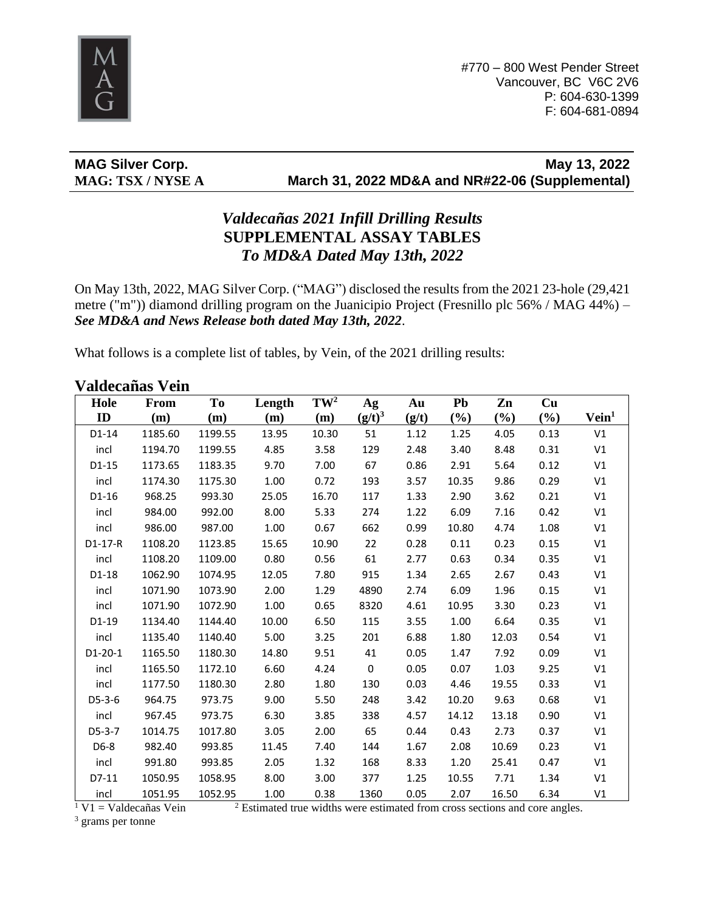

**MAG Silver Corp. May 13, 2022 MAG: TSX / NYSE A March 31, 2022 MD&A and NR#22-06 (Supplemental)**

## *Valdecañas 2021 Infill Drilling Results* **SUPPLEMENTAL ASSAY TABLES**  *To MD&A Dated May 13th, 2022*

On May 13th, 2022, MAG Silver Corp. ("MAG") disclosed the results from the 2021 23-hole (29,421 metre ("m")) diamond drilling program on the Juanicipio Project (Fresnillo plc 56% / MAG 44%) – *See MD&A and News Release both dated May 13th, 2022*.

What follows is a complete list of tables, by Vein, of the 2021 drilling results:

#### **Valdecañas Vein**

| Hole      | <b>From</b> | T <sub>0</sub> | Length | $TW^2$ | Ag        | Au    | Pb     | Zn     | Cu     |                   |
|-----------|-------------|----------------|--------|--------|-----------|-------|--------|--------|--------|-------------------|
| ID        | (m)         | (m)            | (m)    | (m)    | $(g/t)^3$ | (g/t) | $(\%)$ | $(\%)$ | $(\%)$ | Vein <sup>1</sup> |
| D1-14     | 1185.60     | 1199.55        | 13.95  | 10.30  | 51        | 1.12  | 1.25   | 4.05   | 0.13   | V1                |
| incl      | 1194.70     | 1199.55        | 4.85   | 3.58   | 129       | 2.48  | 3.40   | 8.48   | 0.31   | V1                |
| D1-15     | 1173.65     | 1183.35        | 9.70   | 7.00   | 67        | 0.86  | 2.91   | 5.64   | 0.12   | V1                |
| incl      | 1174.30     | 1175.30        | 1.00   | 0.72   | 193       | 3.57  | 10.35  | 9.86   | 0.29   | V1                |
| D1-16     | 968.25      | 993.30         | 25.05  | 16.70  | 117       | 1.33  | 2.90   | 3.62   | 0.21   | V1                |
| incl      | 984.00      | 992.00         | 8.00   | 5.33   | 274       | 1.22  | 6.09   | 7.16   | 0.42   | V1                |
| incl      | 986.00      | 987.00         | 1.00   | 0.67   | 662       | 0.99  | 10.80  | 4.74   | 1.08   | V1                |
| $D1-17-R$ | 1108.20     | 1123.85        | 15.65  | 10.90  | 22        | 0.28  | 0.11   | 0.23   | 0.15   | V1                |
| incl      | 1108.20     | 1109.00        | 0.80   | 0.56   | 61        | 2.77  | 0.63   | 0.34   | 0.35   | V1                |
| D1-18     | 1062.90     | 1074.95        | 12.05  | 7.80   | 915       | 1.34  | 2.65   | 2.67   | 0.43   | V1                |
| incl      | 1071.90     | 1073.90        | 2.00   | 1.29   | 4890      | 2.74  | 6.09   | 1.96   | 0.15   | V1                |
| incl      | 1071.90     | 1072.90        | 1.00   | 0.65   | 8320      | 4.61  | 10.95  | 3.30   | 0.23   | V1                |
| D1-19     | 1134.40     | 1144.40        | 10.00  | 6.50   | 115       | 3.55  | 1.00   | 6.64   | 0.35   | V1                |
| incl      | 1135.40     | 1140.40        | 5.00   | 3.25   | 201       | 6.88  | 1.80   | 12.03  | 0.54   | V1                |
| $D1-20-1$ | 1165.50     | 1180.30        | 14.80  | 9.51   | 41        | 0.05  | 1.47   | 7.92   | 0.09   | V1                |
| incl      | 1165.50     | 1172.10        | 6.60   | 4.24   | 0         | 0.05  | 0.07   | 1.03   | 9.25   | V1                |
| incl      | 1177.50     | 1180.30        | 2.80   | 1.80   | 130       | 0.03  | 4.46   | 19.55  | 0.33   | V1                |
| $D5-3-6$  | 964.75      | 973.75         | 9.00   | 5.50   | 248       | 3.42  | 10.20  | 9.63   | 0.68   | V1                |
| incl      | 967.45      | 973.75         | 6.30   | 3.85   | 338       | 4.57  | 14.12  | 13.18  | 0.90   | V <sub>1</sub>    |
| $D5-3-7$  | 1014.75     | 1017.80        | 3.05   | 2.00   | 65        | 0.44  | 0.43   | 2.73   | 0.37   | V1                |
| D6-8      | 982.40      | 993.85         | 11.45  | 7.40   | 144       | 1.67  | 2.08   | 10.69  | 0.23   | V1                |
| incl      | 991.80      | 993.85         | 2.05   | 1.32   | 168       | 8.33  | 1.20   | 25.41  | 0.47   | V1                |
| D7-11     | 1050.95     | 1058.95        | 8.00   | 3.00   | 377       | 1.25  | 10.55  | 7.71   | 1.34   | V1                |
| incl      | 1051.95     | 1052.95        | 1.00   | 0.38   | 1360      | 0.05  | 2.07   | 16.50  | 6.34   | V1                |

 $1$  V1 = Valdecañas Vein

<sup>2</sup> Estimated true widths were estimated from cross sections and core angles.

<sup>3</sup> grams per tonne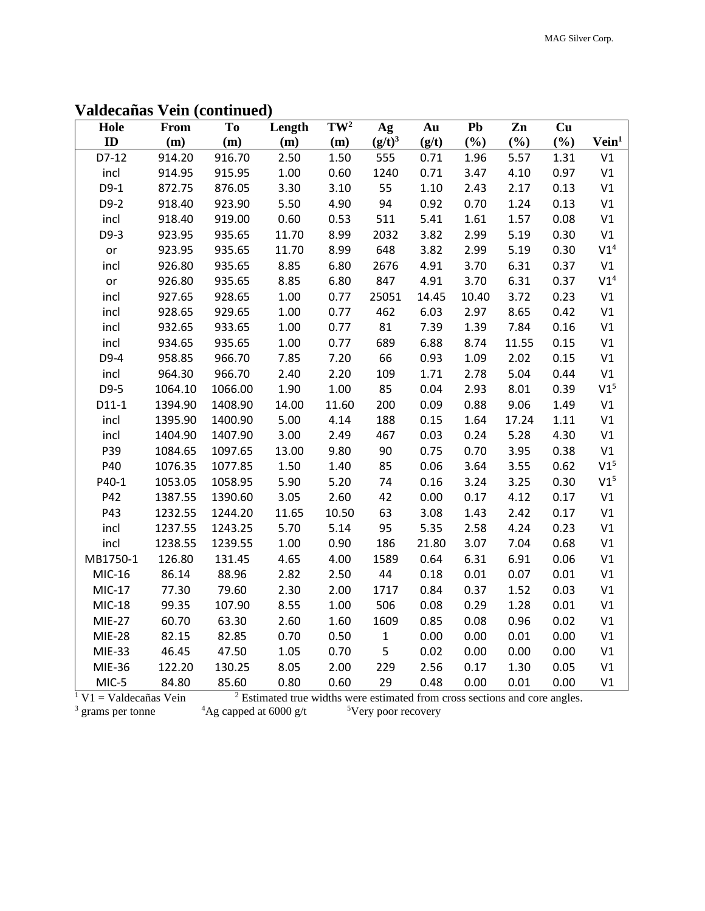| Hole                     | <b>From</b> | To      | Length                                                                                 | $TW^2$ | Ag           | Au    | Pb    | Zn    | Cu   |                   |
|--------------------------|-------------|---------|----------------------------------------------------------------------------------------|--------|--------------|-------|-------|-------|------|-------------------|
| ID                       | (m)         | (m)     | (m)                                                                                    | (m)    | $(g/t)^3$    | (g/t) | (%)   | (%)   | (%)  | Vein <sup>1</sup> |
| $D7-12$                  | 914.20      | 916.70  | 2.50                                                                                   | 1.50   | 555          | 0.71  | 1.96  | 5.57  | 1.31 | V1                |
| incl                     | 914.95      | 915.95  | 1.00                                                                                   | 0.60   | 1240         | 0.71  | 3.47  | 4.10  | 0.97 | V1                |
| $D9-1$                   | 872.75      | 876.05  | 3.30                                                                                   | 3.10   | 55           | 1.10  | 2.43  | 2.17  | 0.13 | V1                |
| D9-2                     | 918.40      | 923.90  | 5.50                                                                                   | 4.90   | 94           | 0.92  | 0.70  | 1.24  | 0.13 | V1                |
| incl                     | 918.40      | 919.00  | 0.60                                                                                   | 0.53   | 511          | 5.41  | 1.61  | 1.57  | 0.08 | V1                |
| D9-3                     | 923.95      | 935.65  | 11.70                                                                                  | 8.99   | 2032         | 3.82  | 2.99  | 5.19  | 0.30 | V1                |
| or                       | 923.95      | 935.65  | 11.70                                                                                  | 8.99   | 648          | 3.82  | 2.99  | 5.19  | 0.30 | V1 <sup>4</sup>   |
| incl                     | 926.80      | 935.65  | 8.85                                                                                   | 6.80   | 2676         | 4.91  | 3.70  | 6.31  | 0.37 | V1                |
| or                       | 926.80      | 935.65  | 8.85                                                                                   | 6.80   | 847          | 4.91  | 3.70  | 6.31  | 0.37 | V1 <sup>4</sup>   |
| incl                     | 927.65      | 928.65  | 1.00                                                                                   | 0.77   | 25051        | 14.45 | 10.40 | 3.72  | 0.23 | V1                |
| incl                     | 928.65      | 929.65  | 1.00                                                                                   | 0.77   | 462          | 6.03  | 2.97  | 8.65  | 0.42 | V1                |
| incl                     | 932.65      | 933.65  | 1.00                                                                                   | 0.77   | 81           | 7.39  | 1.39  | 7.84  | 0.16 | V1                |
| incl                     | 934.65      | 935.65  | 1.00                                                                                   | 0.77   | 689          | 6.88  | 8.74  | 11.55 | 0.15 | V1                |
| $D9-4$                   | 958.85      | 966.70  | 7.85                                                                                   | 7.20   | 66           | 0.93  | 1.09  | 2.02  | 0.15 | V1                |
| incl                     | 964.30      | 966.70  | 2.40                                                                                   | 2.20   | 109          | 1.71  | 2.78  | 5.04  | 0.44 | V1                |
| D9-5                     | 1064.10     | 1066.00 | 1.90                                                                                   | 1.00   | 85           | 0.04  | 2.93  | 8.01  | 0.39 | V1 <sup>5</sup>   |
| $D11-1$                  | 1394.90     | 1408.90 | 14.00                                                                                  | 11.60  | 200          | 0.09  | 0.88  | 9.06  | 1.49 | V1                |
| incl                     | 1395.90     | 1400.90 | 5.00                                                                                   | 4.14   | 188          | 0.15  | 1.64  | 17.24 | 1.11 | V1                |
| incl                     | 1404.90     | 1407.90 | 3.00                                                                                   | 2.49   | 467          | 0.03  | 0.24  | 5.28  | 4.30 | V1                |
| P39                      | 1084.65     | 1097.65 | 13.00                                                                                  | 9.80   | 90           | 0.75  | 0.70  | 3.95  | 0.38 | V1                |
| P40                      | 1076.35     | 1077.85 | 1.50                                                                                   | 1.40   | 85           | 0.06  | 3.64  | 3.55  | 0.62 | V1 <sup>5</sup>   |
| P40-1                    | 1053.05     | 1058.95 | 5.90                                                                                   | 5.20   | 74           | 0.16  | 3.24  | 3.25  | 0.30 | V1 <sup>5</sup>   |
| P42                      | 1387.55     | 1390.60 | 3.05                                                                                   | 2.60   | 42           | 0.00  | 0.17  | 4.12  | 0.17 | V1                |
| P43                      | 1232.55     | 1244.20 | 11.65                                                                                  | 10.50  | 63           | 3.08  | 1.43  | 2.42  | 0.17 | V1                |
| incl                     | 1237.55     | 1243.25 | 5.70                                                                                   | 5.14   | 95           | 5.35  | 2.58  | 4.24  | 0.23 | V1                |
| incl                     | 1238.55     | 1239.55 | 1.00                                                                                   | 0.90   | 186          | 21.80 | 3.07  | 7.04  | 0.68 | V1                |
| MB1750-1                 | 126.80      | 131.45  | 4.65                                                                                   | 4.00   | 1589         | 0.64  | 6.31  | 6.91  | 0.06 | V1                |
| MIC-16                   | 86.14       | 88.96   | 2.82                                                                                   | 2.50   | 44           | 0.18  | 0.01  | 0.07  | 0.01 | V1                |
| <b>MIC-17</b>            | 77.30       | 79.60   | 2.30                                                                                   | 2.00   | 1717         | 0.84  | 0.37  | 1.52  | 0.03 | V1                |
| <b>MIC-18</b>            | 99.35       | 107.90  | 8.55                                                                                   | 1.00   | 506          | 0.08  | 0.29  | 1.28  | 0.01 | V1                |
| <b>MIE-27</b>            | 60.70       | 63.30   | 2.60                                                                                   | 1.60   | 1609         | 0.85  | 0.08  | 0.96  | 0.02 | V1                |
| <b>MIE-28</b>            | 82.15       | 82.85   | 0.70                                                                                   | 0.50   | $\mathbf{1}$ | 0.00  | 0.00  | 0.01  | 0.00 | V1                |
| MIE-33                   | 46.45       | 47.50   | 1.05                                                                                   | 0.70   | 5            | 0.02  | 0.00  | 0.00  | 0.00 | V1                |
| MIE-36                   | 122.20      | 130.25  | 8.05                                                                                   | 2.00   | 229          | 2.56  | 0.17  | 1.30  | 0.05 | V1                |
| MIC-5                    | 84.80       | 85.60   | 0.80                                                                                   | 0.60   | 29           | 0.48  | 0.00  | 0.01  | 0.00 | V1                |
| $1$ V1 = Valdecañas Vein |             |         | <sup>2</sup> Estimated true widths were estimated from cross sections and core angles. |        |              |       |       |       |      |                   |

## **Valdecañas Vein (continued)**

<sup>3</sup> grams per tonne

 $^{4}$ Ag capped at 6000 g/t  $^{5}$ Very poor recovery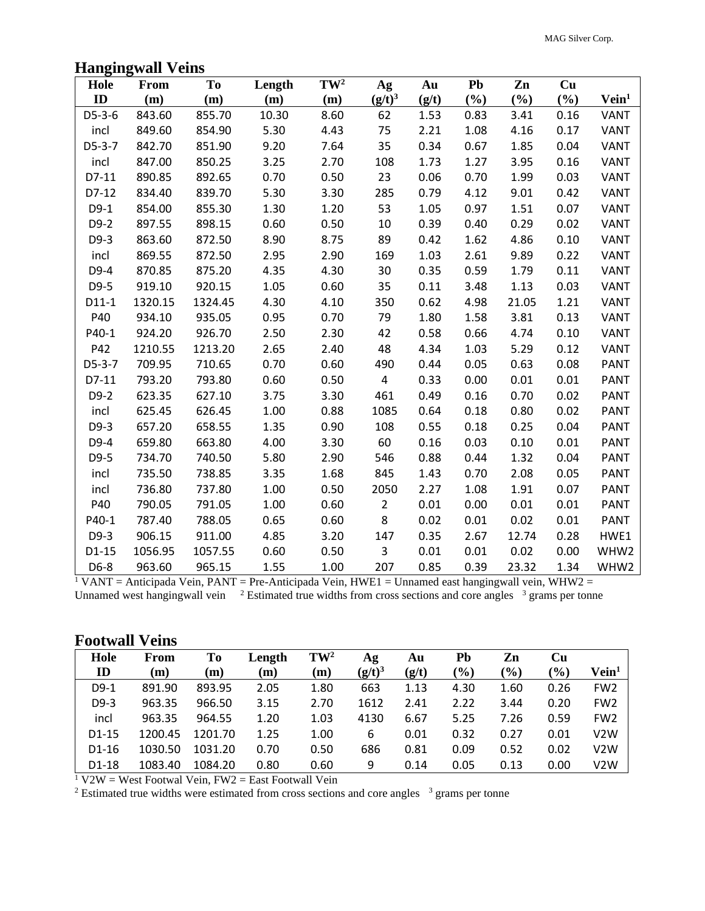### **Hangingwall Veins**

| Hole     | <b>From</b> | <b>To</b> | Length | $TW^2$ | Ag             | Au    | Pb   | Zn    | Cu   |                   |
|----------|-------------|-----------|--------|--------|----------------|-------|------|-------|------|-------------------|
| ID       | (m)         | (m)       | (m)    | (m)    | $(g/t)^3$      | (g/t) | (%)  | (%)   | (%)  | Vein <sup>1</sup> |
| D5-3-6   | 843.60      | 855.70    | 10.30  | 8.60   | 62             | 1.53  | 0.83 | 3.41  | 0.16 | <b>VANT</b>       |
| incl     | 849.60      | 854.90    | 5.30   | 4.43   | 75             | 2.21  | 1.08 | 4.16  | 0.17 | <b>VANT</b>       |
| $D5-3-7$ | 842.70      | 851.90    | 9.20   | 7.64   | 35             | 0.34  | 0.67 | 1.85  | 0.04 | <b>VANT</b>       |
| incl     | 847.00      | 850.25    | 3.25   | 2.70   | 108            | 1.73  | 1.27 | 3.95  | 0.16 | VANT              |
| D7-11    | 890.85      | 892.65    | 0.70   | 0.50   | 23             | 0.06  | 0.70 | 1.99  | 0.03 | <b>VANT</b>       |
| D7-12    | 834.40      | 839.70    | 5.30   | 3.30   | 285            | 0.79  | 4.12 | 9.01  | 0.42 | VANT              |
| $D9-1$   | 854.00      | 855.30    | 1.30   | 1.20   | 53             | 1.05  | 0.97 | 1.51  | 0.07 | <b>VANT</b>       |
| $D9-2$   | 897.55      | 898.15    | 0.60   | 0.50   | 10             | 0.39  | 0.40 | 0.29  | 0.02 | <b>VANT</b>       |
| D9-3     | 863.60      | 872.50    | 8.90   | 8.75   | 89             | 0.42  | 1.62 | 4.86  | 0.10 | <b>VANT</b>       |
| incl     | 869.55      | 872.50    | 2.95   | 2.90   | 169            | 1.03  | 2.61 | 9.89  | 0.22 | <b>VANT</b>       |
| D9-4     | 870.85      | 875.20    | 4.35   | 4.30   | 30             | 0.35  | 0.59 | 1.79  | 0.11 | <b>VANT</b>       |
| D9-5     | 919.10      | 920.15    | 1.05   | 0.60   | 35             | 0.11  | 3.48 | 1.13  | 0.03 | VANT              |
| $D11-1$  | 1320.15     | 1324.45   | 4.30   | 4.10   | 350            | 0.62  | 4.98 | 21.05 | 1.21 | VANT              |
| P40      | 934.10      | 935.05    | 0.95   | 0.70   | 79             | 1.80  | 1.58 | 3.81  | 0.13 | <b>VANT</b>       |
| P40-1    | 924.20      | 926.70    | 2.50   | 2.30   | 42             | 0.58  | 0.66 | 4.74  | 0.10 | <b>VANT</b>       |
| P42      | 1210.55     | 1213.20   | 2.65   | 2.40   | 48             | 4.34  | 1.03 | 5.29  | 0.12 | <b>VANT</b>       |
| $D5-3-7$ | 709.95      | 710.65    | 0.70   | 0.60   | 490            | 0.44  | 0.05 | 0.63  | 0.08 | <b>PANT</b>       |
| D7-11    | 793.20      | 793.80    | 0.60   | 0.50   | 4              | 0.33  | 0.00 | 0.01  | 0.01 | <b>PANT</b>       |
| $D9-2$   | 623.35      | 627.10    | 3.75   | 3.30   | 461            | 0.49  | 0.16 | 0.70  | 0.02 | <b>PANT</b>       |
| incl     | 625.45      | 626.45    | 1.00   | 0.88   | 1085           | 0.64  | 0.18 | 0.80  | 0.02 | <b>PANT</b>       |
| $D9-3$   | 657.20      | 658.55    | 1.35   | 0.90   | 108            | 0.55  | 0.18 | 0.25  | 0.04 | <b>PANT</b>       |
| D9-4     | 659.80      | 663.80    | 4.00   | 3.30   | 60             | 0.16  | 0.03 | 0.10  | 0.01 | <b>PANT</b>       |
| D9-5     | 734.70      | 740.50    | 5.80   | 2.90   | 546            | 0.88  | 0.44 | 1.32  | 0.04 | <b>PANT</b>       |
| incl     | 735.50      | 738.85    | 3.35   | 1.68   | 845            | 1.43  | 0.70 | 2.08  | 0.05 | <b>PANT</b>       |
| incl     | 736.80      | 737.80    | 1.00   | 0.50   | 2050           | 2.27  | 1.08 | 1.91  | 0.07 | <b>PANT</b>       |
| P40      | 790.05      | 791.05    | 1.00   | 0.60   | $\overline{2}$ | 0.01  | 0.00 | 0.01  | 0.01 | <b>PANT</b>       |
| P40-1    | 787.40      | 788.05    | 0.65   | 0.60   | 8              | 0.02  | 0.01 | 0.02  | 0.01 | <b>PANT</b>       |
| D9-3     | 906.15      | 911.00    | 4.85   | 3.20   | 147            | 0.35  | 2.67 | 12.74 | 0.28 | HWE1              |
| $D1-15$  | 1056.95     | 1057.55   | 0.60   | 0.50   | 3              | 0.01  | 0.01 | 0.02  | 0.00 | WHW2              |
| D6-8     | 963.60      | 965.15    | 1.55   | 1.00   | 207            | 0.85  | 0.39 | 23.32 | 1.34 | WHW2              |

<sup>1</sup> VANT = Anticipada Vein, PANT = Pre-Anticipada Vein, HWE1 = Unnamed east hangingwall vein, WHW2 = Unnamed west hangingwall vein <sup>2</sup> Estimated true widths from cross sections and core angles <sup>3</sup> grams per tonne

#### **Footwall Veins**

| Hole          | From    | To      | Length | $\mathbf{TW}^2$ | Αg        | Au    | Pb     | Zn            | Cu               |                            |
|---------------|---------|---------|--------|-----------------|-----------|-------|--------|---------------|------------------|----------------------------|
| $\mathbf{ID}$ | (m)     | (m)     | (m)    | (m)             | $(g/t)^3$ | (g/t) | $(\%)$ | $\frac{6}{6}$ | $\mathcal{O}(6)$ | $\mathbf{V}\mathbf{ein}^1$ |
| $D9-1$        | 891.90  | 893.95  | 2.05   | 1.80            | 663       | 1.13  | 4.30   | 1.60          | 0.26             | FW <sub>2</sub>            |
| $D9-3$        | 963.35  | 966.50  | 3.15   | 2.70            | 1612      | 2.41  | 2.22   | 3.44          | 0.20             | FW <sub>2</sub>            |
| incl          | 963.35  | 964.55  | 1.20   | 1.03            | 4130      | 6.67  | 5.25   | 7.26          | 0.59             | FW <sub>2</sub>            |
| $D1-15$       | 1200.45 | 1201.70 | 1.25   | 1.00            | 6         | 0.01  | 0.32   | 0.27          | 0.01             | V2W                        |
| $D1-16$       | 1030.50 | 1031.20 | 0.70   | 0.50            | 686       | 0.81  | 0.09   | 0.52          | 0.02             | V2W                        |
| D1-18         | 1083.40 | 1084.20 | 0.80   | 0.60            | 9         | 0.14  | 0.05   | 0.13          | 0.00             | V2W                        |

 $1 V2W$  = West Footwal Vein, FW2 = East Footwall Vein

 $2$  Estimated true widths were estimated from cross sections and core angles  $3$  grams per tonne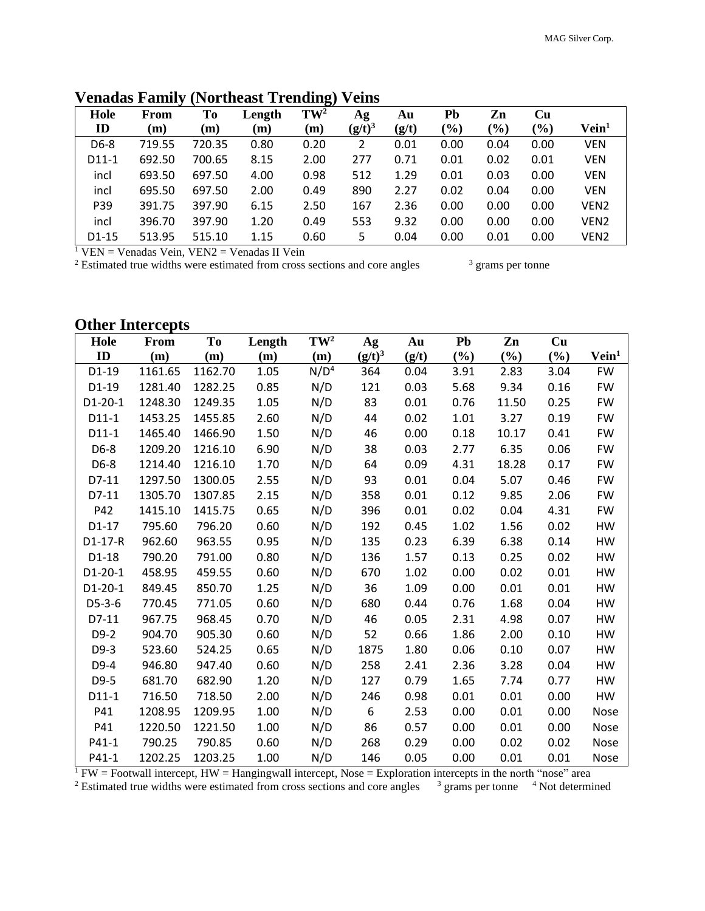| Hole    | From   | Tо     | Length | $TW^2$ | Ag        | Au    | Pb            | Zn            | Cu                           |                  |
|---------|--------|--------|--------|--------|-----------|-------|---------------|---------------|------------------------------|------------------|
| ID      | (m)    | (m)    | (m)    | (m)    | $(g/t)^3$ | (g/t) | $\frac{1}{2}$ | $\frac{1}{2}$ | $\left( \frac{0}{0} \right)$ | $V$ ein $^1$     |
| D6-8    | 719.55 | 720.35 | 0.80   | 0.20   | 2         | 0.01  | 0.00          | 0.04          | 0.00                         | <b>VEN</b>       |
| $D11-1$ | 692.50 | 700.65 | 8.15   | 2.00   | 277       | 0.71  | 0.01          | 0.02          | 0.01                         | <b>VEN</b>       |
| incl    | 693.50 | 697.50 | 4.00   | 0.98   | 512       | 1.29  | 0.01          | 0.03          | 0.00                         | <b>VEN</b>       |
| incl    | 695.50 | 697.50 | 2.00   | 0.49   | 890       | 2.27  | 0.02          | 0.04          | 0.00                         | <b>VEN</b>       |
| P39     | 391.75 | 397.90 | 6.15   | 2.50   | 167       | 2.36  | 0.00          | 0.00          | 0.00                         | VEN <sub>2</sub> |
| incl    | 396.70 | 397.90 | 1.20   | 0.49   | 553       | 9.32  | 0.00          | 0.00          | 0.00                         | VEN <sub>2</sub> |
| $D1-15$ | 513.95 | 515.10 | 1.15   | 0.60   | 5         | 0.04  | 0.00          | 0.01          | 0.00                         | VEN <sub>2</sub> |

# **Venadas Family (Northeast Trending) Veins**

 $<sup>1</sup>$  VEN = Venadas Vein, VEN2 = Venadas II Vein</sup>

 $2$  Estimated true widths were estimated from cross sections and core angles

<sup>3</sup> grams per tonne

# **Other Intercepts**

| Hole      | <b>From</b> | To      | Length | $TW^2$           | Ag        | Au    | Pb     | Zn                         | Cu   |                   |
|-----------|-------------|---------|--------|------------------|-----------|-------|--------|----------------------------|------|-------------------|
| ID        | (m)         | (m)     | (m)    | (m)              | $(g/t)^3$ | (g/t) | $(\%)$ | $\left(\frac{0}{0}\right)$ | (%)  | Vein <sup>1</sup> |
| $D1-19$   | 1161.65     | 1162.70 | 1.05   | N/D <sup>4</sup> | 364       | 0.04  | 3.91   | 2.83                       | 3.04 | <b>FW</b>         |
| D1-19     | 1281.40     | 1282.25 | 0.85   | N/D              | 121       | 0.03  | 5.68   | 9.34                       | 0.16 | <b>FW</b>         |
| D1-20-1   | 1248.30     | 1249.35 | 1.05   | N/D              | 83        | 0.01  | 0.76   | 11.50                      | 0.25 | <b>FW</b>         |
| $D11-1$   | 1453.25     | 1455.85 | 2.60   | N/D              | 44        | 0.02  | 1.01   | 3.27                       | 0.19 | <b>FW</b>         |
| $D11-1$   | 1465.40     | 1466.90 | 1.50   | N/D              | 46        | 0.00  | 0.18   | 10.17                      | 0.41 | <b>FW</b>         |
| D6-8      | 1209.20     | 1216.10 | 6.90   | N/D              | 38        | 0.03  | 2.77   | 6.35                       | 0.06 | <b>FW</b>         |
| D6-8      | 1214.40     | 1216.10 | 1.70   | N/D              | 64        | 0.09  | 4.31   | 18.28                      | 0.17 | <b>FW</b>         |
| D7-11     | 1297.50     | 1300.05 | 2.55   | N/D              | 93        | 0.01  | 0.04   | 5.07                       | 0.46 | <b>FW</b>         |
| D7-11     | 1305.70     | 1307.85 | 2.15   | N/D              | 358       | 0.01  | 0.12   | 9.85                       | 2.06 | <b>FW</b>         |
| P42       | 1415.10     | 1415.75 | 0.65   | N/D              | 396       | 0.01  | 0.02   | 0.04                       | 4.31 | <b>FW</b>         |
| $D1-17$   | 795.60      | 796.20  | 0.60   | N/D              | 192       | 0.45  | 1.02   | 1.56                       | 0.02 | <b>HW</b>         |
| D1-17-R   | 962.60      | 963.55  | 0.95   | N/D              | 135       | 0.23  | 6.39   | 6.38                       | 0.14 | HW                |
| $D1-18$   | 790.20      | 791.00  | 0.80   | N/D              | 136       | 1.57  | 0.13   | 0.25                       | 0.02 | HW                |
| $D1-20-1$ | 458.95      | 459.55  | 0.60   | N/D              | 670       | 1.02  | 0.00   | 0.02                       | 0.01 | HW                |
| $D1-20-1$ | 849.45      | 850.70  | 1.25   | N/D              | 36        | 1.09  | 0.00   | 0.01                       | 0.01 | HW                |
| $D5-3-6$  | 770.45      | 771.05  | 0.60   | N/D              | 680       | 0.44  | 0.76   | 1.68                       | 0.04 | HW                |
| D7-11     | 967.75      | 968.45  | 0.70   | N/D              | 46        | 0.05  | 2.31   | 4.98                       | 0.07 | HW                |
| $D9-2$    | 904.70      | 905.30  | 0.60   | N/D              | 52        | 0.66  | 1.86   | 2.00                       | 0.10 | HW                |
| D9-3      | 523.60      | 524.25  | 0.65   | N/D              | 1875      | 1.80  | 0.06   | 0.10                       | 0.07 | HW                |
| D9-4      | 946.80      | 947.40  | 0.60   | N/D              | 258       | 2.41  | 2.36   | 3.28                       | 0.04 | HW                |
| D9-5      | 681.70      | 682.90  | 1.20   | N/D              | 127       | 0.79  | 1.65   | 7.74                       | 0.77 | HW                |
| $D11-1$   | 716.50      | 718.50  | 2.00   | N/D              | 246       | 0.98  | 0.01   | 0.01                       | 0.00 | HW                |
| P41       | 1208.95     | 1209.95 | 1.00   | N/D              | 6         | 2.53  | 0.00   | 0.01                       | 0.00 | Nose              |
| P41       | 1220.50     | 1221.50 | 1.00   | N/D              | 86        | 0.57  | 0.00   | 0.01                       | 0.00 | Nose              |
| P41-1     | 790.25      | 790.85  | 0.60   | N/D              | 268       | 0.29  | 0.00   | 0.02                       | 0.02 | Nose              |
| P41-1     | 1202.25     | 1203.25 | 1.00   | N/D              | 146       | 0.05  | 0.00   | 0.01                       | 0.01 | Nose              |

 $1$  FW = Footwall intercept, HW = Hangingwall intercept, Nose = Exploration intercepts in the north "nose" area

<sup>2</sup> Estimated true widths were estimated from cross sections and core angles  $\frac{3}{2}$  grams per tonne  $\frac{4}{2}$  Not determined